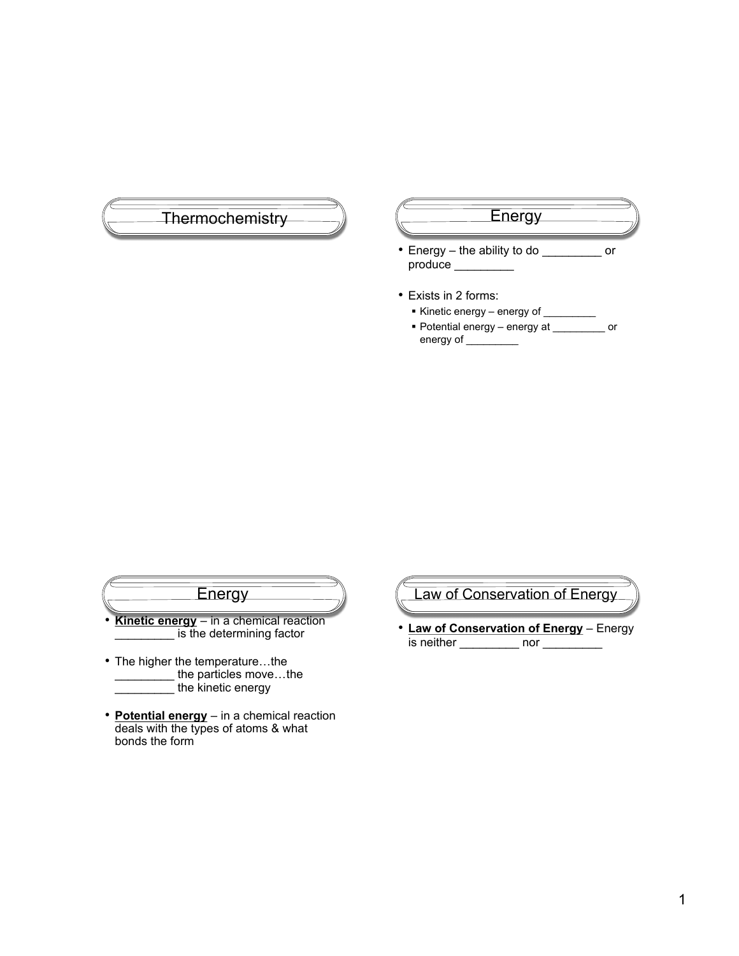



- $\equiv$  the kinetic energy
- **Potential energy** in a chemical reaction deals with the types of atoms & what bonds the form

Law of Conservation of Energy

• **Law of Conservation of Energy** – Energy is neither \_\_\_\_\_\_\_\_\_\_\_ nor \_\_\_\_\_\_\_\_\_\_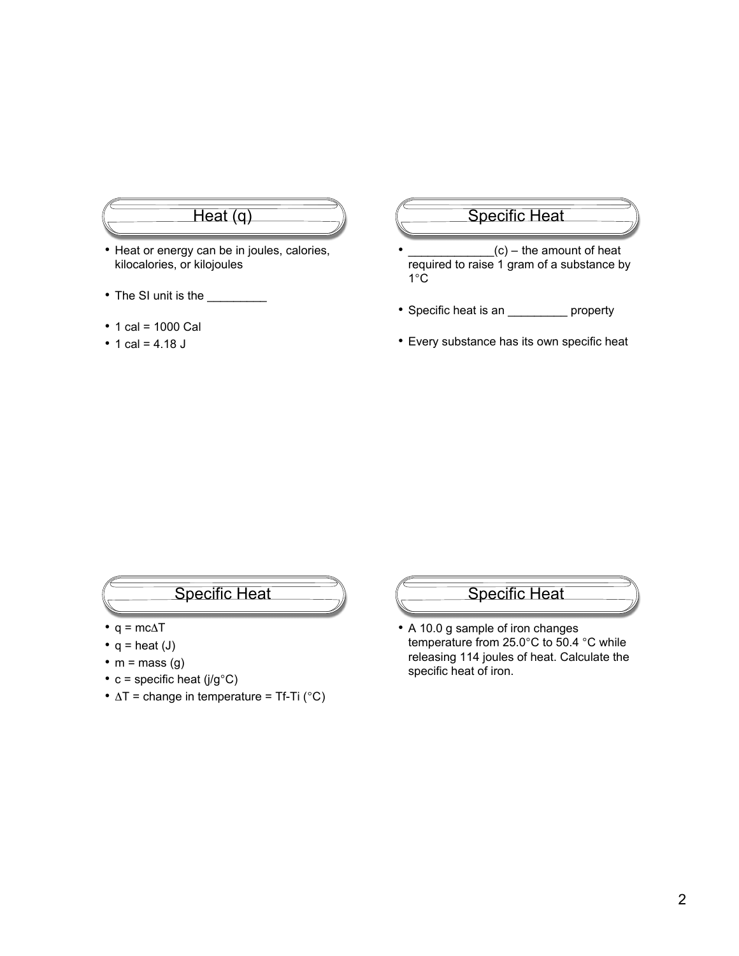# Heat (q)

- Heat or energy can be in joules, calories, kilocalories, or kilojoules
- The SI unit is the \_\_\_\_\_\_\_\_
- 1 cal = 1000 Cal
- 1 cal =  $4.18$  J

#### Specific Heat

- $(c)$  the amount of heat required to raise 1 gram of a substance by 1°C
- Specific heat is an \_\_\_\_\_\_\_\_\_ property
- Every substance has its own specific heat

## Specific Heat

- $q = mc\Delta T$
- $q = heat (J)$
- $m = mass (g)$
- $c =$  specific heat (j/g $\degree$ C)
- $\Delta T$  = change in temperature = Tf-Ti (°C)

#### Specific Heat

• A 10.0 g sample of iron changes temperature from 25.0°C to 50.4 °C while releasing 114 joules of heat. Calculate the specific heat of iron.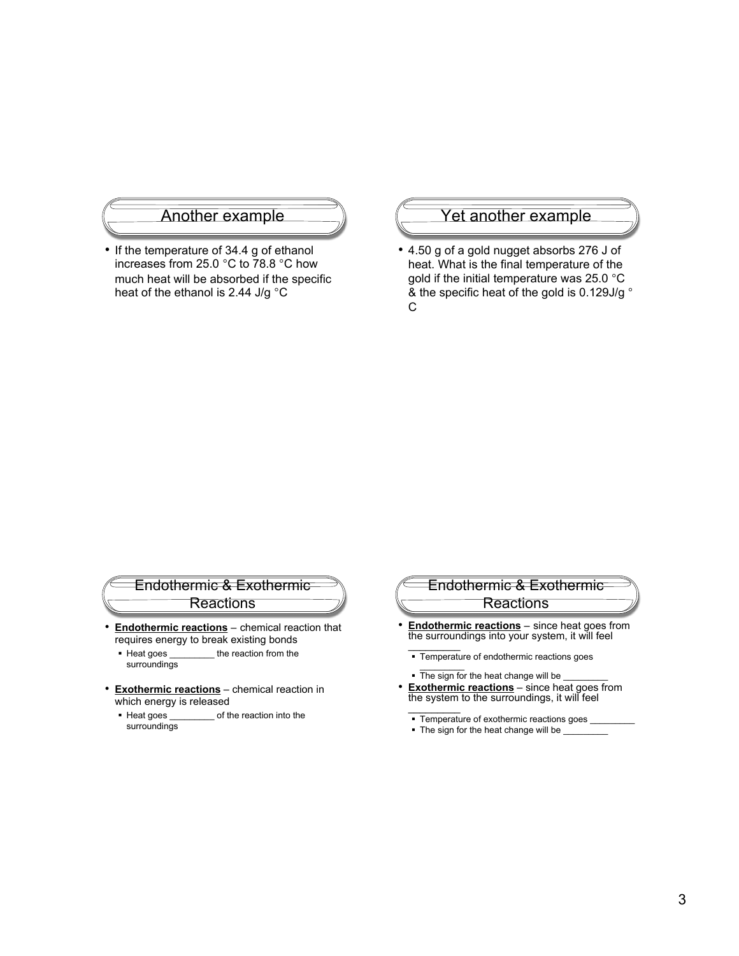#### Another example

• If the temperature of 34.4 g of ethanol increases from 25.0 °C to 78.8 °C how much heat will be absorbed if the specific heat of the ethanol is 2.44 J/g °C

#### Yet another example

• 4.50 g of a gold nugget absorbs 276 J of heat. What is the final temperature of the gold if the initial temperature was 25.0 °C & the specific heat of the gold is 0.129J/g ° C

#### Endothermic & Exothermic Reactions

- **Endothermic reactions** chemical reaction that requires energy to break existing bonds
	- Heat goes \_\_\_\_\_\_\_\_\_ the reaction from the surroundings
- **Exothermic reactions** chemical reaction in
	- which energy is released<br>• Heat goes \_\_\_\_\_\_\_\_\_\_ of the of the reaction into the surroundings

### Endothermic & Exothermic Reactions

- **Endothermic reactions** since heat goes from the surroundings into your system, it will feel  $\overline{\phantom{a}}$ 
	- **Temperature of endothermic reactions goes**
	- $\sim$   $\sim$ The sign for the heat change will be
- **Exothermic reactions** since heat goes from the system to the surroundings, it will feel  $\frac{1}{2}$ 
	- Temperature of exothermic reactions goes
	- The sign for the heat change will be